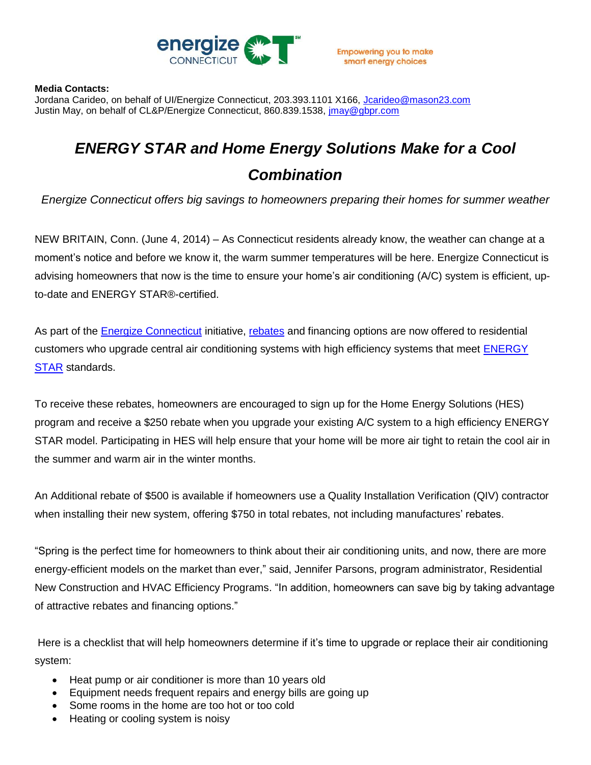

## **Media Contacts:**

Jordana Carideo, on behalf of UI/Energize Connecticut, 203.393.1101 X166, [Jcarideo@mason23.com](mailto:Jcarideo@mason23.com) Justin May, on behalf of CL&P/Energize Connecticut, 860.839.1538, [jmay@gbpr.com](mailto:jmay@gbpr.com)

## *ENERGY STAR and Home Energy Solutions Make for a Cool Combination*

*Energize Connecticut offers big savings to homeowners preparing their homes for summer weather*

NEW BRITAIN, Conn. (June 4, 2014) – As Connecticut residents already know, the weather can change at a moment's notice and before we know it, the warm summer temperatures will be here. Energize Connecticut is advising homeowners that now is the time to ensure your home's air conditioning (A/C) system is efficient, upto-date and ENERGY STAR®-certified.

As part of the [Energize Connecticut](http://www.energizect.com/) initiative, [rebates](http://energizect.com/residents/programs/high-efficiency-heating-cooling) and financing options are now offered to residential customers who upgrade central air conditioning systems with high efficiency systems that meet **ENERGY [STAR](http://www.energystar.gov/index.cfm?fuseaction=find_a_product.showProductGroup&pgw_code=CA) standards.** 

To receive these rebates, homeowners are encouraged to sign up for the Home Energy Solutions (HES) program and receive a \$250 rebate when you upgrade your existing A/C system to a high efficiency ENERGY STAR model. Participating in HES will help ensure that your home will be more air tight to retain the cool air in the summer and warm air in the winter months.

An Additional rebate of \$500 is available if homeowners use a Quality Installation Verification (QIV) contractor when installing their new system, offering \$750 in total rebates, not including manufactures' rebates.

"Spring is the perfect time for homeowners to think about their air conditioning units, and now, there are more energy-efficient models on the market than ever," said, Jennifer Parsons, program administrator, Residential New Construction and HVAC Efficiency Programs. "In addition, homeowners can save big by taking advantage of attractive rebates and financing options."

Here is a checklist that will help homeowners determine if it's time to upgrade or replace their air conditioning system:

- Heat pump or air conditioner is more than 10 years old
- Equipment needs frequent repairs and energy bills are going up
- Some rooms in the home are too hot or too cold
- Heating or cooling system is noisy